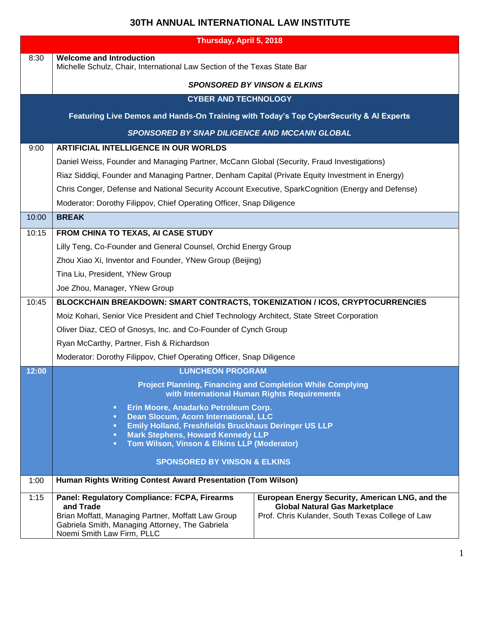## **30TH ANNUAL INTERNATIONAL LAW INSTITUTE**

| Thursday, April 5, 2018                                                                |                                                                                                                                                                                                                                                                                        |                                                                                                                                              |  |
|----------------------------------------------------------------------------------------|----------------------------------------------------------------------------------------------------------------------------------------------------------------------------------------------------------------------------------------------------------------------------------------|----------------------------------------------------------------------------------------------------------------------------------------------|--|
| 8:30                                                                                   | <b>Welcome and Introduction</b><br>Michelle Schulz, Chair, International Law Section of the Texas State Bar                                                                                                                                                                            |                                                                                                                                              |  |
|                                                                                        | <b>SPONSORED BY VINSON &amp; ELKINS</b>                                                                                                                                                                                                                                                |                                                                                                                                              |  |
| <b>CYBER AND TECHNOLOGY</b>                                                            |                                                                                                                                                                                                                                                                                        |                                                                                                                                              |  |
| Featuring Live Demos and Hands-On Training with Today's Top CyberSecurity & Al Experts |                                                                                                                                                                                                                                                                                        |                                                                                                                                              |  |
| <b>SPONSORED BY SNAP DILIGENCE AND MCCANN GLOBAL</b>                                   |                                                                                                                                                                                                                                                                                        |                                                                                                                                              |  |
| 9:00                                                                                   | <b>ARTIFICIAL INTELLIGENCE IN OUR WORLDS</b>                                                                                                                                                                                                                                           |                                                                                                                                              |  |
|                                                                                        | Daniel Weiss, Founder and Managing Partner, McCann Global (Security, Fraud Investigations)                                                                                                                                                                                             |                                                                                                                                              |  |
|                                                                                        | Riaz Siddiqi, Founder and Managing Partner, Denham Capital (Private Equity Investment in Energy)                                                                                                                                                                                       |                                                                                                                                              |  |
|                                                                                        | Chris Conger, Defense and National Security Account Executive, SparkCognition (Energy and Defense)                                                                                                                                                                                     |                                                                                                                                              |  |
|                                                                                        | Moderator: Dorothy Filippov, Chief Operating Officer, Snap Diligence                                                                                                                                                                                                                   |                                                                                                                                              |  |
| 10:00                                                                                  | <b>BREAK</b>                                                                                                                                                                                                                                                                           |                                                                                                                                              |  |
| 10:15                                                                                  | FROM CHINA TO TEXAS, AI CASE STUDY                                                                                                                                                                                                                                                     |                                                                                                                                              |  |
|                                                                                        | Lilly Teng, Co-Founder and General Counsel, Orchid Energy Group                                                                                                                                                                                                                        |                                                                                                                                              |  |
|                                                                                        | Zhou Xiao Xi, Inventor and Founder, YNew Group (Beijing)                                                                                                                                                                                                                               |                                                                                                                                              |  |
|                                                                                        | Tina Liu, President, YNew Group                                                                                                                                                                                                                                                        |                                                                                                                                              |  |
|                                                                                        | Joe Zhou, Manager, YNew Group                                                                                                                                                                                                                                                          |                                                                                                                                              |  |
| 10:45                                                                                  | BLOCKCHAIN BREAKDOWN: SMART CONTRACTS, TOKENIZATION / ICOS, CRYPTOCURRENCIES                                                                                                                                                                                                           |                                                                                                                                              |  |
|                                                                                        | Moiz Kohari, Senior Vice President and Chief Technology Architect, State Street Corporation                                                                                                                                                                                            |                                                                                                                                              |  |
|                                                                                        | Oliver Diaz, CEO of Gnosys, Inc. and Co-Founder of Cynch Group                                                                                                                                                                                                                         |                                                                                                                                              |  |
|                                                                                        | Ryan McCarthy, Partner, Fish & Richardson                                                                                                                                                                                                                                              |                                                                                                                                              |  |
|                                                                                        | Moderator: Dorothy Filippov, Chief Operating Officer, Snap Diligence                                                                                                                                                                                                                   |                                                                                                                                              |  |
| 12:00                                                                                  | <b>LUNCHEON PROGRAM</b>                                                                                                                                                                                                                                                                |                                                                                                                                              |  |
|                                                                                        | <b>Project Planning, Financing and Completion While Complying</b><br>with International Human Rights Requirements                                                                                                                                                                      |                                                                                                                                              |  |
|                                                                                        | Erin Moore, Anadarko Petroleum Corp.<br>π.<br>Dean Slocum, Acorn International, LLC<br>$\blacksquare$<br>Emily Holland, Freshfields Bruckhaus Deringer US LLP<br>o,<br><b>Mark Stephens, Howard Kennedy LLP</b><br>o,<br>Tom Wilson, Vinson & Elkins LLP (Moderator)<br>$\blacksquare$ |                                                                                                                                              |  |
|                                                                                        | <b>SPONSORED BY VINSON &amp; ELKINS</b>                                                                                                                                                                                                                                                |                                                                                                                                              |  |
| 1:00                                                                                   | Human Rights Writing Contest Award Presentation (Tom Wilson)                                                                                                                                                                                                                           |                                                                                                                                              |  |
| 1:15                                                                                   | Panel: Regulatory Compliance: FCPA, Firearms<br>and Trade<br>Brian Moffatt, Managing Partner, Moffatt Law Group<br>Gabriela Smith, Managing Attorney, The Gabriela<br>Noemi Smith Law Firm, PLLC                                                                                       | European Energy Security, American LNG, and the<br><b>Global Natural Gas Marketplace</b><br>Prof. Chris Kulander, South Texas College of Law |  |